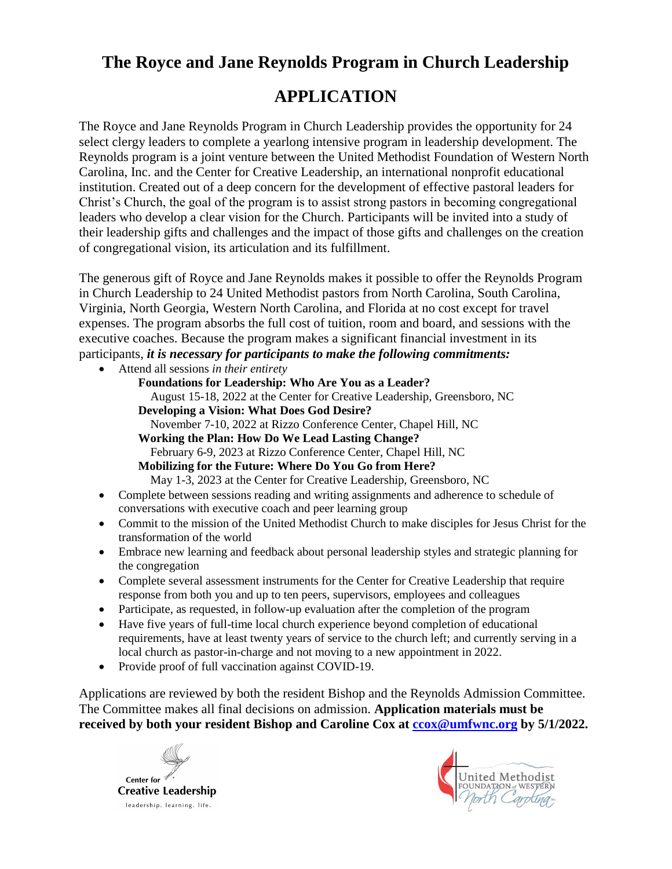## **The Royce and Jane Reynolds Program in Church Leadership**

## **APPLICATION**

The Royce and Jane Reynolds Program in Church Leadership provides the opportunity for 24 select clergy leaders to complete a yearlong intensive program in leadership development. The Reynolds program is a joint venture between the United Methodist Foundation of Western North Carolina, Inc. and the Center for Creative Leadership, an international nonprofit educational institution. Created out of a deep concern for the development of effective pastoral leaders for Christ's Church, the goal of the program is to assist strong pastors in becoming congregational leaders who develop a clear vision for the Church. Participants will be invited into a study of their leadership gifts and challenges and the impact of those gifts and challenges on the creation of congregational vision, its articulation and its fulfillment.

The generous gift of Royce and Jane Reynolds makes it possible to offer the Reynolds Program in Church Leadership to 24 United Methodist pastors from North Carolina, South Carolina, Virginia, North Georgia, Western North Carolina, and Florida at no cost except for travel expenses. The program absorbs the full cost of tuition, room and board, and sessions with the executive coaches. Because the program makes a significant financial investment in its participants, *it is necessary for participants to make the following commitments:*

- Attend all sessions *in their entirety*
	- **Foundations for Leadership: Who Are You as a Leader?** August 15-18, 2022 at the Center for Creative Leadership, Greensboro, NC **Developing a Vision: What Does God Desire?** November 7-10, 2022 at Rizzo Conference Center, Chapel Hill, NC **Working the Plan: How Do We Lead Lasting Change?** February 6-9, 2023 at Rizzo Conference Center, Chapel Hill, NC **Mobilizing for the Future: Where Do You Go from Here?** May 1-3, 2023 at the Center for Creative Leadership, Greensboro, NC
- Complete between sessions reading and writing assignments and adherence to schedule of conversations with executive coach and peer learning group
- Commit to the mission of the United Methodist Church to make disciples for Jesus Christ for the transformation of the world
- Embrace new learning and feedback about personal leadership styles and strategic planning for the congregation
- Complete several assessment instruments for the Center for Creative Leadership that require response from both you and up to ten peers, supervisors, employees and colleagues
- Participate, as requested, in follow-up evaluation after the completion of the program
- Have five years of full-time local church experience beyond completion of educational requirements, have at least twenty years of service to the church left; and currently serving in a local church as pastor-in-charge and not moving to a new appointment in 2022.
- Provide proof of full vaccination against COVID-19.

Applications are reviewed by both the resident Bishop and the Reynolds Admission Committee. The Committee makes all final decisions on admission. **Application materials must be received by both your resident Bishop and Caroline Cox at [ccox@umfwnc.org](mailto:ccox@umfwnc.org?subject=Reynolds%20Program%20in%20Church%20Leadership%20Application) by 5/1/2022.**



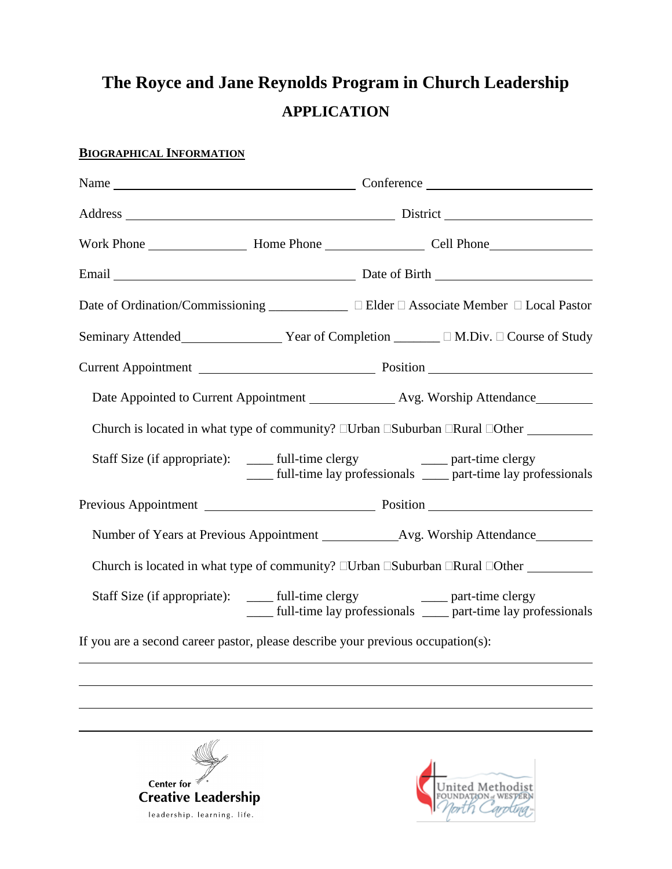# **The Royce and Jane Reynolds Program in Church Leadership APPLICATION**

### **BIOGRAPHICAL INFORMATION**

| Date of Ordination/Commissioning _____________ □ Elder □ Associate Member □ Local Pastor |  |  |                                                                                                            |
|------------------------------------------------------------------------------------------|--|--|------------------------------------------------------------------------------------------------------------|
| Seminary Attended<br>Year of Completion <sub>__</sub> □ M.Div. □ Course of Study         |  |  |                                                                                                            |
|                                                                                          |  |  |                                                                                                            |
| Date Appointed to Current Appointment ______________ Avg. Worship Attendance________     |  |  |                                                                                                            |
|                                                                                          |  |  | Church is located in what type of community? $\Box$ Urban $\Box$ Suburban $\Box$ Rural $\Box$ Other $\Box$ |
| Staff Size (if appropriate): _______ full-time clergy ________ part-time clergy          |  |  | _____ full-time lay professionals _____ part-time lay professionals                                        |
|                                                                                          |  |  |                                                                                                            |
|                                                                                          |  |  |                                                                                                            |
| Church is located in what type of community? □Urban □Suburban □Rural □Other __________   |  |  |                                                                                                            |
| Staff Size (if appropriate): ______ full-time clergy _______ part-time clergy            |  |  | _____ full-time lay professionals _____ part-time lay professionals                                        |
| If you are a second career pastor, please describe your previous occupation(s):          |  |  |                                                                                                            |
|                                                                                          |  |  |                                                                                                            |
|                                                                                          |  |  |                                                                                                            |